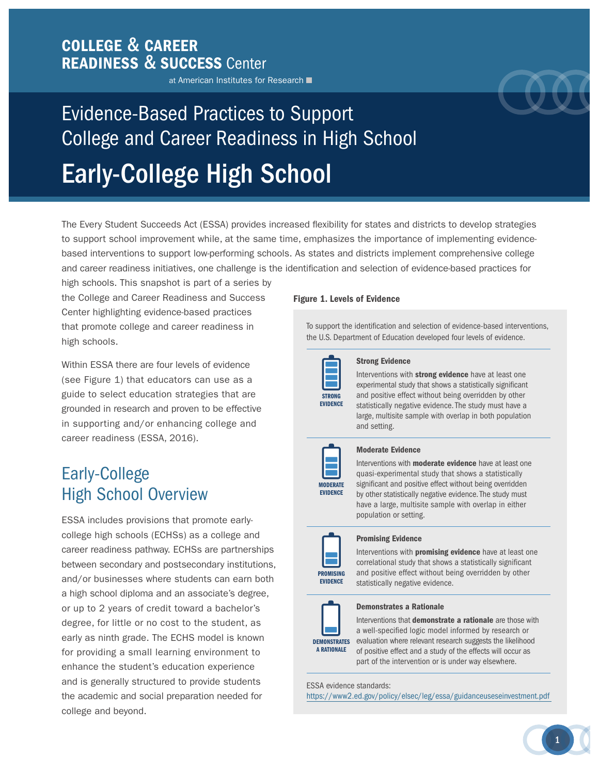### COLLEGE & CAREER READINESS & SUCCESS Center

at American Institutes for Research



# Evidence-Based Practices to Support College and Career Readiness in High School Early-College High School

The Every Student Succeeds Act (ESSA) provides increased flexibility for states and districts to develop strategies to support school improvement while, at the same time, emphasizes the importance of implementing evidencebased interventions to support low-performing schools. As states and districts implement comprehensive college and career readiness initiatives, one challenge is the identification and selection of evidence-based practices for

high schools. This snapshot is part of a series by the College and Career Readiness and Success Center highlighting evidence-based practices that promote college and career readiness in high schools.

Within ESSA there are four levels of evidence (see Figure 1) that educators can use as a guide to select education strategies that are grounded in research and proven to be effective in supporting and/or enhancing college and career readiness (ESSA, 2016).

# Early-College High School Overview

ESSA includes provisions that promote earlycollege high schools (ECHSs) as a college and career readiness pathway. ECHSs are partnerships between secondary and postsecondary institutions, and/or businesses where students can earn both a high school diploma and an associate's degree, or up to 2 years of credit toward a bachelor's degree, for little or no cost to the student, as early as ninth grade. The ECHS model is known for providing a small learning environment to enhance the student's education experience and is generally structured to provide students the academic and social preparation needed for college and beyond.

#### Figure 1. Levels of Evidence

To support the identification and selection of evidence-based interventions, the U.S. Department of Education developed four levels of evidence.



#### Strong Evidence

Interventions with strong evidence have at least one experimental study that shows a statistically significant and positive effect without being overridden by other statistically negative evidence. The study must have a large, multisite sample with overlap in both population and setting.



#### Moderate Evidence

Interventions with **moderate evidence** have at least one quasi-experimental study that shows a statistically significant and positive effect without being overridden by other statistically negative evidence. The study must have a large, multisite sample with overlap in either population or setting.



#### Promising Evidence

Interventions with **promising evidence** have at least one correlational study that shows a statistically significant and positive effect without being overridden by other statistically negative evidence.



#### Demonstrates a Rationale

**DEMONSTRATES** evaluation where relevant research suggests the likelihood Interventions that **demonstrate a rationale** are those with a well-specified logic model informed by research or of positive effect and a study of the effects will occur as part of the intervention or is under way elsewhere.

ESSA evidence standards:

<https://www2.ed.gov/policy/elsec/leg/essa/guidanceuseseinvestment.pdf>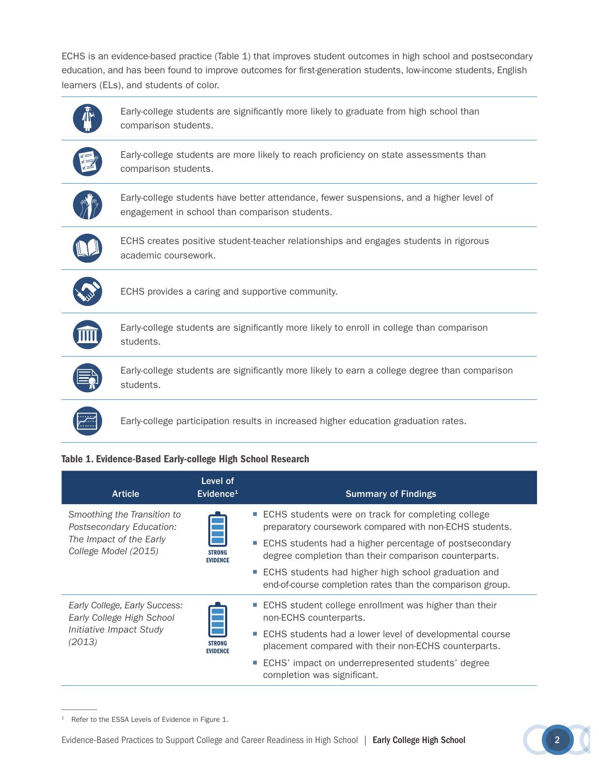ECHS is an evidence-based practice (Table 1) that improves student outcomes in high school and postsecondary education, and has been found to improve outcomes for first-generation students, low-income students, English learners (ELs), and students of color.



#### Table 1. Evidence-Based Early-college High School Research

| <b>Article</b>                                                                                             | Level of<br>Evidence <sup>1</sup> | <b>Summary of Findings</b>                                                                                                                                                                                                                                                                                                                                 |
|------------------------------------------------------------------------------------------------------------|-----------------------------------|------------------------------------------------------------------------------------------------------------------------------------------------------------------------------------------------------------------------------------------------------------------------------------------------------------------------------------------------------------|
| Smoothing the Transition to<br>Postsecondary Education:<br>The Impact of the Early<br>College Model (2015) | <b>STRONG</b><br><b>EVIDENCE</b>  | ■ ECHS students were on track for completing college<br>preparatory coursework compared with non-ECHS students.<br>■ ECHS students had a higher percentage of postsecondary<br>degree completion than their comparison counterparts.<br>■ ECHS students had higher high school graduation and<br>end-of-course completion rates than the comparison group. |
| Early College, Early Success:<br>Early College High School<br>Initiative Impact Study<br>(2013)            | <b>STRONG</b><br><b>EVIDENCE</b>  | ■ ECHS student college enrollment was higher than their<br>non-ECHS counterparts.<br>■ ECHS students had a lower level of developmental course<br>placement compared with their non-ECHS counterparts.<br>ECHS' impact on underrepresented students' degree<br>completion was significant.                                                                 |

<sup>1</sup> Refer to the ESSA Levels of Evidence in Figure 1.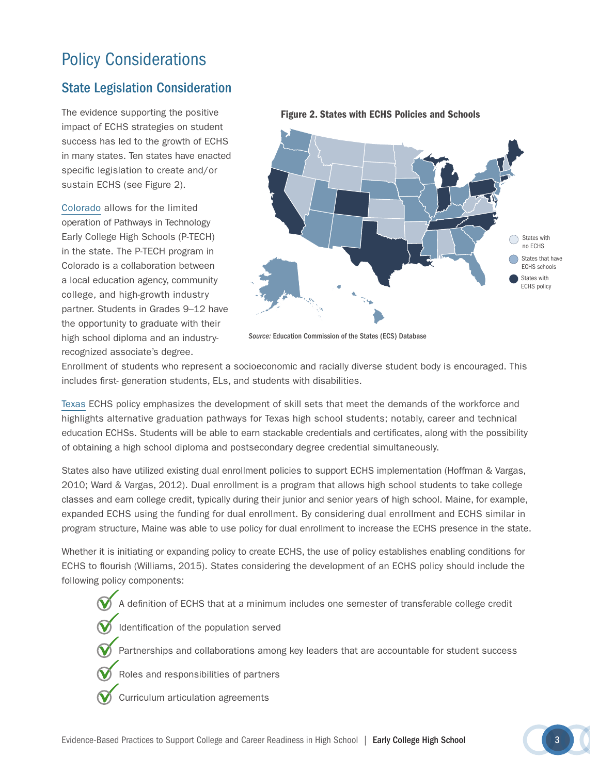# Policy Considerations

### State Legislation Consideration

The evidence supporting the positive impact of ECHS strategies on student success has led to the growth of ECHS in many states. Ten states have enacted specific legislation to create and/or sustain ECHS (see Figure 2).

[Colorado](http://www.leg.state.co.us/clics/clics2015a/csl.nsf/fsbillcont3/4F14B4BA0DF5D8B887257DDD005FC4E1?open&file=1270_enr.pdf) allows for the limited operation of Pathways in Technology Early College High Schools (P-TECH) in the state. The P-TECH program in Colorado is a collaboration between a local education agency, community college, and high-growth industry partner. Students in Grades 9–12 have the opportunity to graduate with their high school diploma and an industryrecognized associate's degree.



#### Figure 2. States with ECHS Policies and Schools

*Source:* Education Commission of the States (ECS) Database

Enrollment of students who represent a socioeconomic and racially diverse student body is encouraged. This includes first- generation students, ELs, and students with disabilities.

[Texas](http://www.thecb.state.tx.us/index.cfm?objectid=2C8D18C4-DB8F-5463-3290D5FDEEA68498) ECHS policy emphasizes the development of skill sets that meet the demands of the workforce and highlights alternative graduation pathways for Texas high school students; notably, career and technical education ECHSs. Students will be able to earn stackable credentials and certificates, along with the possibility of obtaining a high school diploma and postsecondary degree credential simultaneously.

States also have utilized existing dual enrollment policies to support ECHS implementation (Hoffman & Vargas, 2010; Ward & Vargas, 2012). Dual enrollment is a program that allows high school students to take college classes and earn college credit, typically during their junior and senior years of high school. Maine, for example, expanded ECHS using the funding for dual enrollment. By considering dual enrollment and ECHS similar in program structure, Maine was able to use policy for dual enrollment to increase the ECHS presence in the state.

Whether it is initiating or expanding policy to create ECHS, the use of policy establishes enabling conditions for ECHS to flourish (Williams, 2015). States considering the development of an ECHS policy should include the following policy components:

A definition of ECHS that at a minimum includes one semester of transferable college credit

Identification of the population served

Partnerships and collaborations among key leaders that are accountable for student success

Roles and responsibilities of partners

Curriculum articulation agreements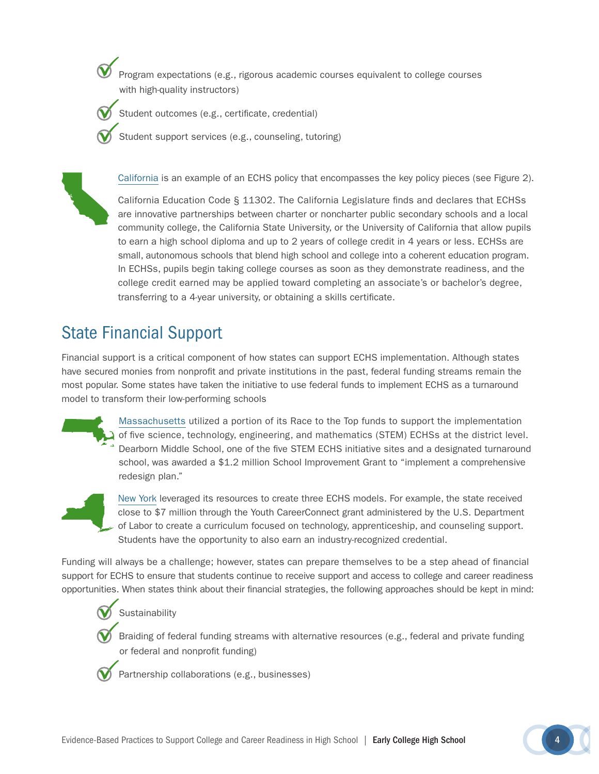Program expectations (e.g., rigorous academic courses equivalent to college courses with high-quality instructors)

- Student outcomes (e.g., certificate, credential)
- Student support services (e.g., counseling, tutoring)



California is an example of an ECHS policy that encompasses the key policy pieces (see Figure 2).

California Education Code § 11302. The California Legislature finds and declares that ECHSs are innovative partnerships between charter or noncharter public secondary schools and a local community college, the California State University, or the University of California that allow pupils to earn a high school diploma and up to 2 years of college credit in 4 years or less. ECHSs are small, autonomous schools that blend high school and college into a coherent education program. In ECHSs, pupils begin taking college courses as soon as they demonstrate readiness, and the college credit earned may be applied toward completing an associate's or bachelor's degree, transferring to a 4-year university, or obtaining a skills certificate.

# State Financial Support

Financial support is a critical component of how states can support ECHS implementation. Although states have secured monies from nonprofit and private institutions in the past, federal funding streams remain the most popular. Some states have taken the initiative to use federal funds to implement ECHS as a turnaround model to transform their low-performing schools

> [Massachusetts](http://www.doe.mass.edu/grants/grants13/rfp/208.html) utilized a portion of its Race to the Top funds to support the implementation of five science, technology, engineering, and mathematics (STEM) ECHSs at the district level. Dearborn Middle School, one of the five STEM ECHS initiative sites and a designated turnaround school, was awarded a \$1.2 million School Improvement Grant to "implement a comprehensive redesign plan."

[New York](http://webapps.dol.gov/DOLGrantData/KeywordSearch.aspx?parameter=SGA-DFA-PY-13-01B) leveraged its resources to create three ECHS models. For example, the state received close to \$7 million through the Youth CareerConnect grant administered by the U.S. Department of Labor to create a curriculum focused on technology, apprenticeship, and counseling support. Students have the opportunity to also earn an industry-recognized credential.

Funding will always be a challenge; however, states can prepare themselves to be a step ahead of financial support for ECHS to ensure that students continue to receive support and access to college and career readiness opportunities. When states think about their financial strategies, the following approaches should be kept in mind:

#### Sustainability

Braiding of federal funding streams with alternative resources (e.g., federal and private funding or federal and nonprofit funding)



Partnership collaborations (e.g., businesses)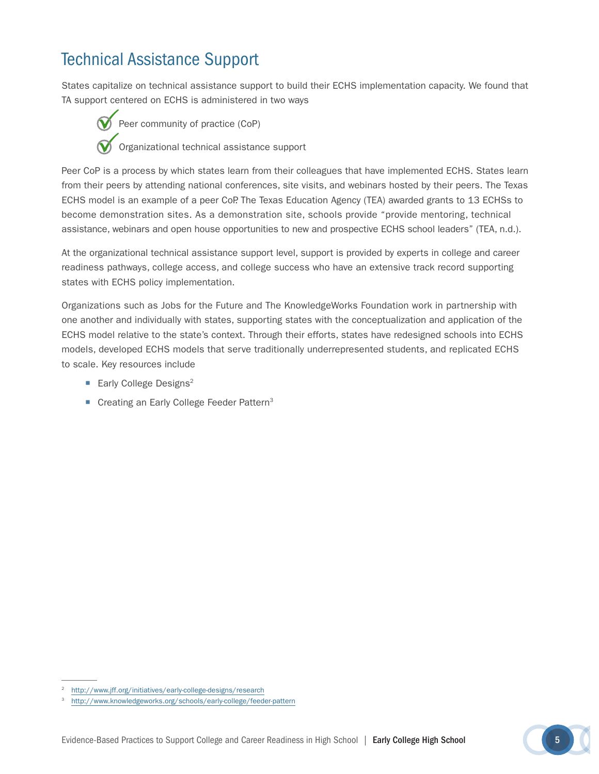# Technical Assistance Support

States capitalize on technical assistance support to build their ECHS implementation capacity. We found that TA support centered on ECHS is administered in two ways

Peer community of practice (CoP) Organizational technical assistance support

Peer CoP is a process by which states learn from their colleagues that have implemented ECHS. States learn from their peers by attending national conferences, site visits, and webinars hosted by their peers. The Texas ECHS model is an example of a peer CoP. The Texas Education Agency (TEA) awarded grants to 13 ECHSs to become demonstration sites. As a demonstration site, schools provide "provide mentoring, technical assistance, webinars and open house opportunities to new and prospective ECHS school leaders" (TEA, n.d.).

At the organizational technical assistance support level, support is provided by experts in college and career readiness pathways, college access, and college success who have an extensive track record supporting states with ECHS policy implementation.

Organizations such as Jobs for the Future and The KnowledgeWorks Foundation work in partnership with one another and individually with states, supporting states with the conceptualization and application of the ECHS model relative to the state's context. Through their efforts, states have redesigned schools into ECHS models, developed ECHS models that serve traditionally underrepresented students, and replicated ECHS to scale. Key resources include

- $\blacksquare$  Early College Designs<sup>2</sup>
- Creating an Early College Feeder Pattern<sup>3</sup>

<http://www.jff.org/initiatives/early-college-designs/research>

<sup>3</sup> <http://www.knowledgeworks.org/schools/early-college/feeder-pattern>